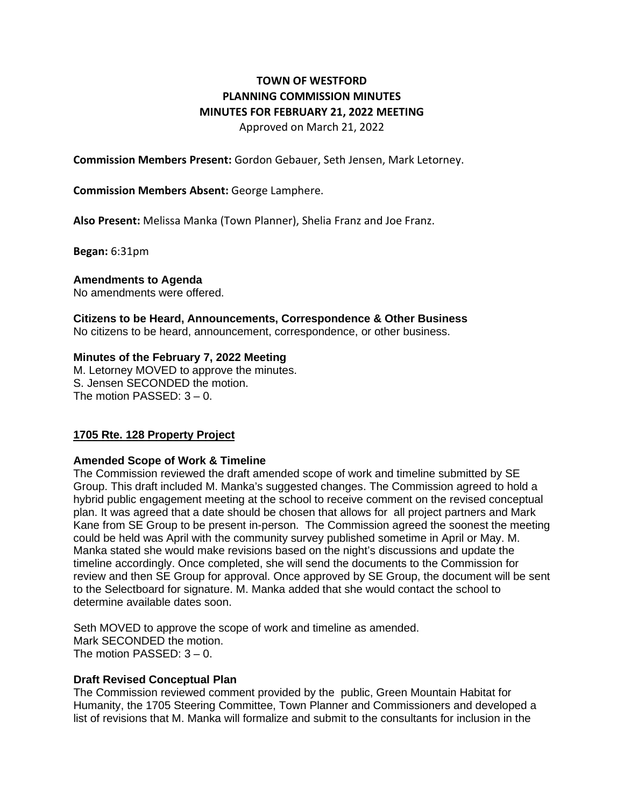# **TOWN OF WESTFORD PLANNING COMMISSION MINUTES MINUTES FOR FEBRUARY 21, 2022 MEETING**  Approved on March 21, 2022

**Commission Members Present:** Gordon Gebauer, Seth Jensen, Mark Letorney.

## **Commission Members Absent:** George Lamphere.

**Also Present:** Melissa Manka (Town Planner), Shelia Franz and Joe Franz.

**Began:** 6:31pm

### **Amendments to Agenda**

No amendments were offered.

#### **Citizens to be Heard, Announcements, Correspondence & Other Business**

No citizens to be heard, announcement, correspondence, or other business.

### **Minutes of the February 7, 2022 Meeting**

M. Letorney MOVED to approve the minutes. S. Jensen SECONDED the motion. The motion PASSED:  $3 - 0$ .

### **1705 Rte. 128 Property Project**

### **Amended Scope of Work & Timeline**

The Commission reviewed the draft amended scope of work and timeline submitted by SE Group. This draft included M. Manka's suggested changes. The Commission agreed to hold a hybrid public engagement meeting at the school to receive comment on the revised conceptual plan. It was agreed that a date should be chosen that allows for all project partners and Mark Kane from SE Group to be present in-person. The Commission agreed the soonest the meeting could be held was April with the community survey published sometime in April or May. M. Manka stated she would make revisions based on the night's discussions and update the timeline accordingly. Once completed, she will send the documents to the Commission for review and then SE Group for approval. Once approved by SE Group, the document will be sent to the Selectboard for signature. M. Manka added that she would contact the school to determine available dates soon.

Seth MOVED to approve the scope of work and timeline as amended. Mark SECONDED the motion. The motion PASSED: 3 – 0.

### **Draft Revised Conceptual Plan**

The Commission reviewed comment provided by the public, Green Mountain Habitat for Humanity, the 1705 Steering Committee, Town Planner and Commissioners and developed a list of revisions that M. Manka will formalize and submit to the consultants for inclusion in the